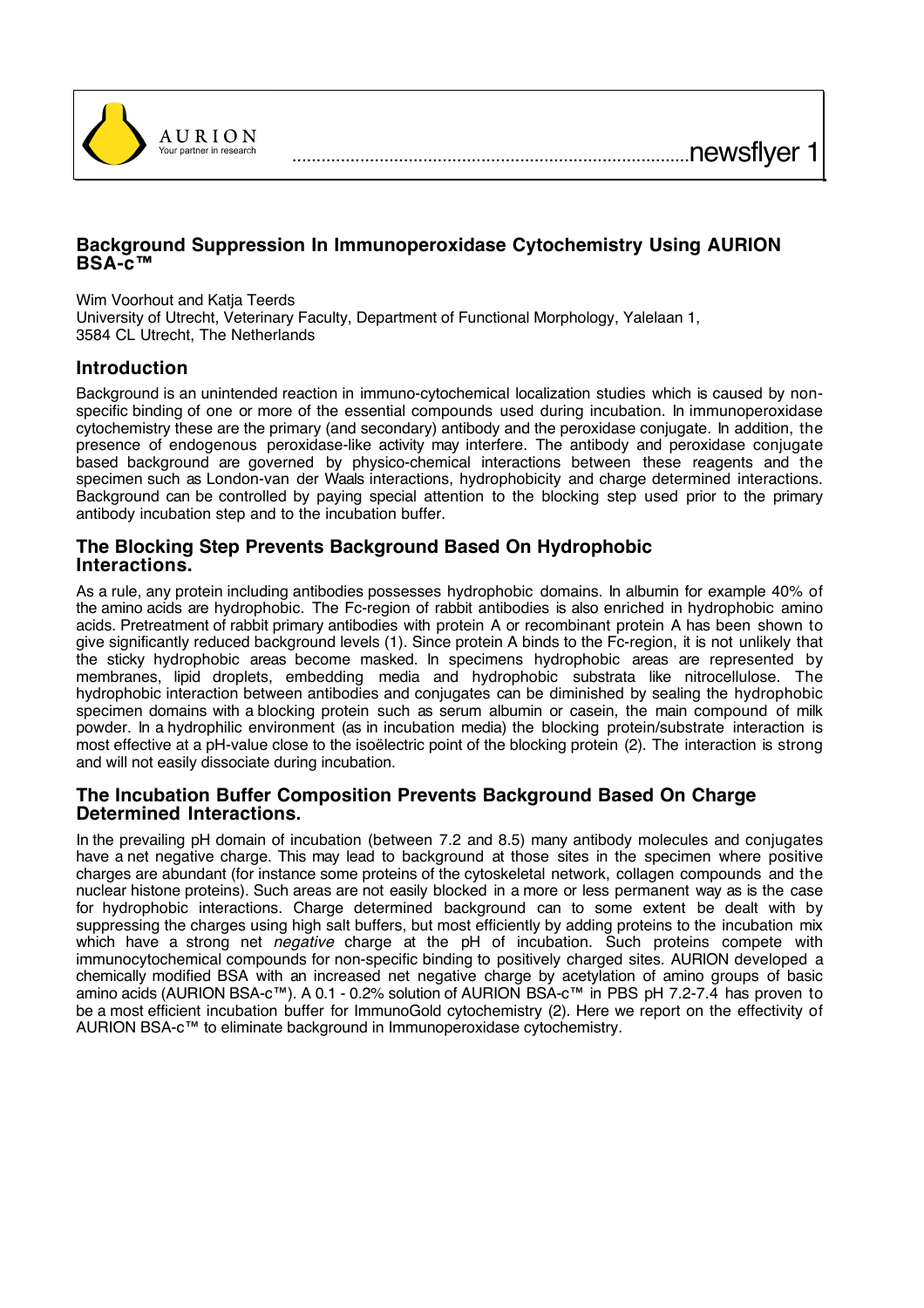

# **Background Suppression In Immunoperoxidase Cytochemistry Using AURION BSA-c™**

Wim Voorhout and Katja Teerds

University of Utrecht, Veterinary Faculty, Department of Functional Morphology, Yalelaan 1, 3584 CL Utrecht, The Netherlands

# **Introduction**

Background is an unintended reaction in immuno-cytochemical localization studies which is caused by nonspecific binding of one or more of the essential compounds used during incubation. In immunoperoxidase cytochemistry these are the primary (and secondary) antibody and the peroxidase conjugate. In addition, the presence of endogenous peroxidase-like activity may interfere. The antibody and peroxidase conjugate based background are governed by physico-chemical interactions between these reagents and the specimen such as London-van der Waals interactions, hydrophobicity and charge determined interactions. Background can be controlled by paying special attention to the blocking step used prior to the primary antibody incubation step and to the incubation buffer.

### **The Blocking Step Prevents Background Based On Hydrophobic Interactions.**

As a rule, any protein including antibodies possesses hydrophobic domains. In albumin for example 40% of the amino acids are hydrophobic. The Fc-region of rabbit antibodies is also enriched in hydrophobic amino acids. Pretreatment of rabbit primary antibodies with protein A or recombinant protein A has been shown to give significantly reduced background levels (1). Since protein A binds to the Fc-region, it is not unlikely that the sticky hydrophobic areas become masked. In specimens hydrophobic areas are represented by membranes, lipid droplets, embedding media and hydrophobic substrata like nitrocellulose. The hydrophobic interaction between antibodies and conjugates can be diminished by sealing the hydrophobic specimen domains with a blocking protein such as serum albumin or casein, the main compound of milk powder. In a hydrophilic environment (as in incubation media) the blocking protein/substrate interaction is most effective at a pH-value close to the isoëlectric point of the blocking protein (2). The interaction is strong and will not easily dissociate during incubation.

### **The Incubation Buffer Composition Prevents Background Based On Charge Determined Interactions.**

In the prevailing pH domain of incubation (between 7.2 and 8.5) many antibody molecules and conjugates have a net negative charge. This may lead to background at those sites in the specimen where positive charges are abundant (for instance some proteins of the cytoskeletal network, collagen compounds and the nuclear histone proteins). Such areas are not easily blocked in a more or less permanent way as is the case for hydrophobic interactions. Charge determined background can to some extent be dealt with by suppressing the charges using high salt buffers, but most efficiently by adding proteins to the incubation mix which have a strong net *negative* charge at the pH of incubation. Such proteins compete with immunocytochemical compounds for non-specific binding to positively charged sites. AURION developed a chemically modified BSA with an increased net negative charge by acetylation of amino groups of basic amino acids (AURION BSA-c™). A 0.1 - 0.2% solution of AURION BSA-c™ in PBS pH 7.2-7.4 has proven to be a most efficient incubation buffer for ImmunoGold cytochemistry (2). Here we report on the effectivity of AURION BSA-c™ to eliminate background in Immunoperoxidase cytochemistry.